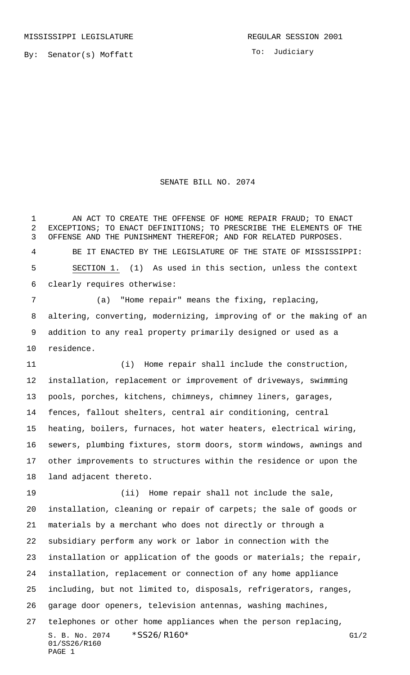By: Senator(s) Moffatt

## SENATE BILL NO. 2074

1 AN ACT TO CREATE THE OFFENSE OF HOME REPAIR FRAUD; TO ENACT EXCEPTIONS; TO ENACT DEFINITIONS; TO PRESCRIBE THE ELEMENTS OF THE OFFENSE AND THE PUNISHMENT THEREFOR; AND FOR RELATED PURPOSES. BE IT ENACTED BY THE LEGISLATURE OF THE STATE OF MISSISSIPPI: SECTION 1. (1) As used in this section, unless the context clearly requires otherwise: (a) "Home repair" means the fixing, replacing,

 altering, converting, modernizing, improving of or the making of an addition to any real property primarily designed or used as a residence.

 (i) Home repair shall include the construction, installation, replacement or improvement of driveways, swimming pools, porches, kitchens, chimneys, chimney liners, garages, fences, fallout shelters, central air conditioning, central heating, boilers, furnaces, hot water heaters, electrical wiring, sewers, plumbing fixtures, storm doors, storm windows, awnings and other improvements to structures within the residence or upon the land adjacent thereto.

S. B. No. 2074 \* SS26/R160\* G1/2 01/SS26/R160 PAGE 1 (ii) Home repair shall not include the sale, installation, cleaning or repair of carpets; the sale of goods or materials by a merchant who does not directly or through a subsidiary perform any work or labor in connection with the installation or application of the goods or materials; the repair, installation, replacement or connection of any home appliance including, but not limited to, disposals, refrigerators, ranges, garage door openers, television antennas, washing machines, telephones or other home appliances when the person replacing,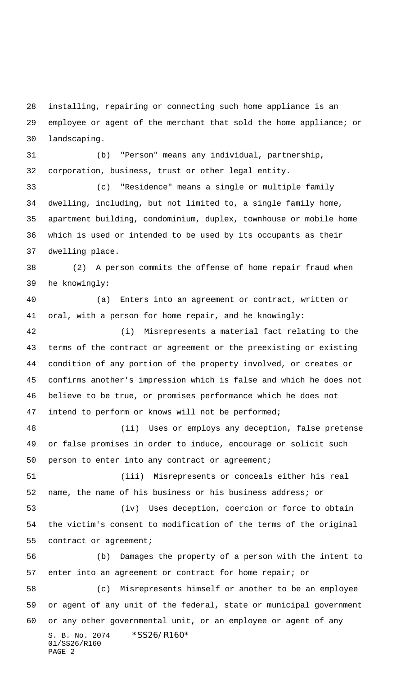installing, repairing or connecting such home appliance is an employee or agent of the merchant that sold the home appliance; or landscaping.

 (b) "Person" means any individual, partnership, corporation, business, trust or other legal entity.

 (c) "Residence" means a single or multiple family dwelling, including, but not limited to, a single family home, apartment building, condominium, duplex, townhouse or mobile home which is used or intended to be used by its occupants as their dwelling place.

 (2) A person commits the offense of home repair fraud when he knowingly:

 (a) Enters into an agreement or contract, written or oral, with a person for home repair, and he knowingly:

 (i) Misrepresents a material fact relating to the terms of the contract or agreement or the preexisting or existing condition of any portion of the property involved, or creates or confirms another's impression which is false and which he does not believe to be true, or promises performance which he does not intend to perform or knows will not be performed;

 (ii) Uses or employs any deception, false pretense or false promises in order to induce, encourage or solicit such 50 person to enter into any contract or agreement;

 (iii) Misrepresents or conceals either his real name, the name of his business or his business address; or

 (iv) Uses deception, coercion or force to obtain the victim's consent to modification of the terms of the original contract or agreement;

S. B. No. 2074 \* SS26/R160\* 01/SS26/R160 PAGE 2 (b) Damages the property of a person with the intent to enter into an agreement or contract for home repair; or (c) Misrepresents himself or another to be an employee or agent of any unit of the federal, state or municipal government or any other governmental unit, or an employee or agent of any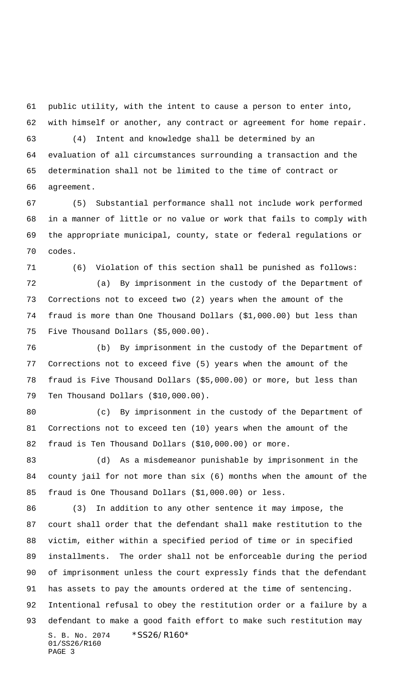public utility, with the intent to cause a person to enter into, with himself or another, any contract or agreement for home repair.

 (4) Intent and knowledge shall be determined by an evaluation of all circumstances surrounding a transaction and the determination shall not be limited to the time of contract or agreement.

 (5) Substantial performance shall not include work performed in a manner of little or no value or work that fails to comply with the appropriate municipal, county, state or federal regulations or codes.

(6) Violation of this section shall be punished as follows:

 (a) By imprisonment in the custody of the Department of Corrections not to exceed two (2) years when the amount of the fraud is more than One Thousand Dollars (\$1,000.00) but less than Five Thousand Dollars (\$5,000.00).

 (b) By imprisonment in the custody of the Department of Corrections not to exceed five (5) years when the amount of the fraud is Five Thousand Dollars (\$5,000.00) or more, but less than Ten Thousand Dollars (\$10,000.00).

 (c) By imprisonment in the custody of the Department of Corrections not to exceed ten (10) years when the amount of the fraud is Ten Thousand Dollars (\$10,000.00) or more.

 (d) As a misdemeanor punishable by imprisonment in the county jail for not more than six (6) months when the amount of the fraud is One Thousand Dollars (\$1,000.00) or less.

S. B. No. 2074 \* SS26/R160\* 01/SS26/R160 PAGE 3 (3) In addition to any other sentence it may impose, the court shall order that the defendant shall make restitution to the victim, either within a specified period of time or in specified installments. The order shall not be enforceable during the period of imprisonment unless the court expressly finds that the defendant has assets to pay the amounts ordered at the time of sentencing. Intentional refusal to obey the restitution order or a failure by a defendant to make a good faith effort to make such restitution may